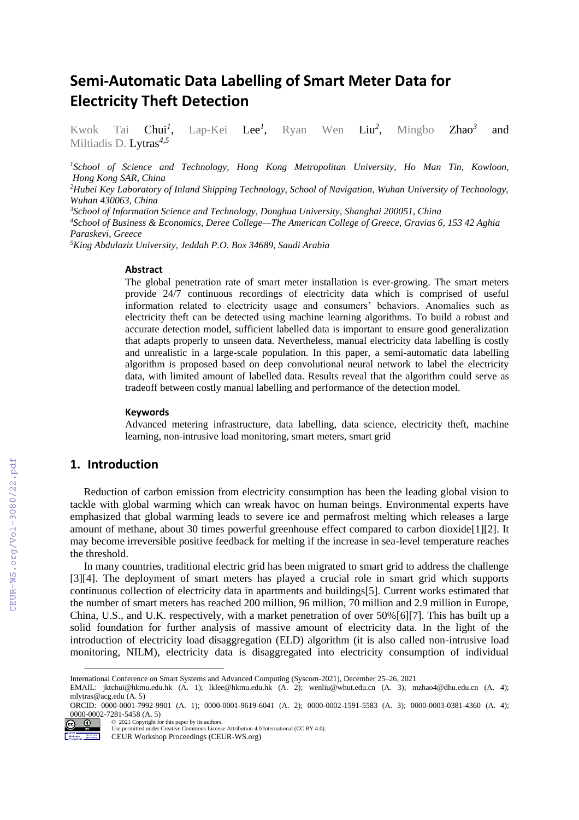# **Semi-Automatic Data Labelling of Smart Meter Data for Electricity Theft Detection**

Kwok Tai Chui*<sup>1</sup>* Lap-Kei Lee<sup>1</sup>, , Ryan Wen Liu*<sup>2</sup>* Mingbo **Zhao<sup>3</sup>** and Miltiadis D. Lytras*4,5*

*<sup>1</sup>School of Science and Technology, Hong Kong Metropolitan University, Ho Man Tin, Kowloon, Hong Kong SAR, China*

*<sup>2</sup>Hubei Key Laboratory of Inland Shipping Technology, School of Navigation, Wuhan University of Technology, Wuhan 430063, China*

*<sup>3</sup>School of Information Science and Technology, Donghua University, Shanghai 200051, China*

*<sup>4</sup>School of Business & Economics, Deree College—The American College of Greece, Gravias 6, 153 42 Aghia Paraskevi, Greece* 

*<sup>5</sup>King Abdulaziz University, Jeddah P.O. Box 34689, Saudi Arabia*

#### **Abstract**

The global penetration rate of smart meter installation is ever-growing. The smart meters provide 24/7 continuous recordings of electricity data which is comprised of useful information related to electricity usage and consumers' behaviors. Anomalies such as electricity theft can be detected using machine learning algorithms. To build a robust and accurate detection model, sufficient labelled data is important to ensure good generalization that adapts properly to unseen data. Nevertheless, manual electricity data labelling is costly and unrealistic in a large-scale population. In this paper, a semi-automatic data labelling algorithm is proposed based on deep convolutional neural network to label the electricity data, with limited amount of labelled data. Results reveal that the algorithm could serve as tradeoff between costly manual labelling and performance of the detection model.

#### **Keywords 1**

Advanced metering infrastructure, data labelling, data science, electricity theft, machine learning, non-intrusive load monitoring, smart meters, smart grid

## **1. Introduction**

Reduction of carbon emission from electricity consumption has been the leading global vision to tackle with global warming which can wreak havoc on human beings. Environmental experts have emphasized that global warming leads to severe ice and permafrost melting which releases a large amount of methane, about 30 times powerful greenhouse effect compared to carbon dioxid[e\[1\]](#page--1-0)[\[2\].](#page--1-1) It may become irreversible positive feedback for melting if the increase in sea-level temperature reaches the threshold.

In many countries, traditional electric grid has been migrated to smart grid to address the challenge [\[3\]](#page--1-2)[\[4\].](#page--1-3) The deployment of smart meters has played a crucial role in smart grid which supports continuous collection of electricity data in apartments and building[s\[5\].](#page--1-4) Current works estimated that the number of smart meters has reached 200 million, 96 million, 70 million and 2.9 million in Europe, China, U.S., and U.K. respectively, with a market penetration of over 50[%\[6\]](#page--1-5)[\[7\].](#page--1-6) This has built up a solid foundation for further analysis of massive amount of electricity data. In the light of the introduction of electricity load disaggregation (ELD) algorithm (it is also called non-intrusive load monitoring, NILM), electricity data is disaggregated into electricity consumption of individual

 $\approx 2021$  Copyright for this paper by its authors.

Use permitted under Creative Commons License Attribution 4.0 International (CC BY 4.0).

CEUR Workshop Proceedings (CEUR-WS.org)

International Conference on Smart Systems and Advanced Computing (Syscom-2021), December 25–26, 2021

EMAIL: jktchui@hkmu.edu.hk (A. 1); lklee@hkmu.edu.hk (A. 2); wenliu@whut.edu.cn (A. 3); mzhao4@dhu.edu.cn (A. 4); mlytras@acg.edu (A. 5)

ORCID: 0000-0001-7992-9901 (A. 1); 0000-0001-9619-6041 (A. 2); 0000-0002-1591-5583 (A. 3); 0000-0003-0381-4360 (A. 4); 0000-0002-7281-5458 (A. 5)  $\odot$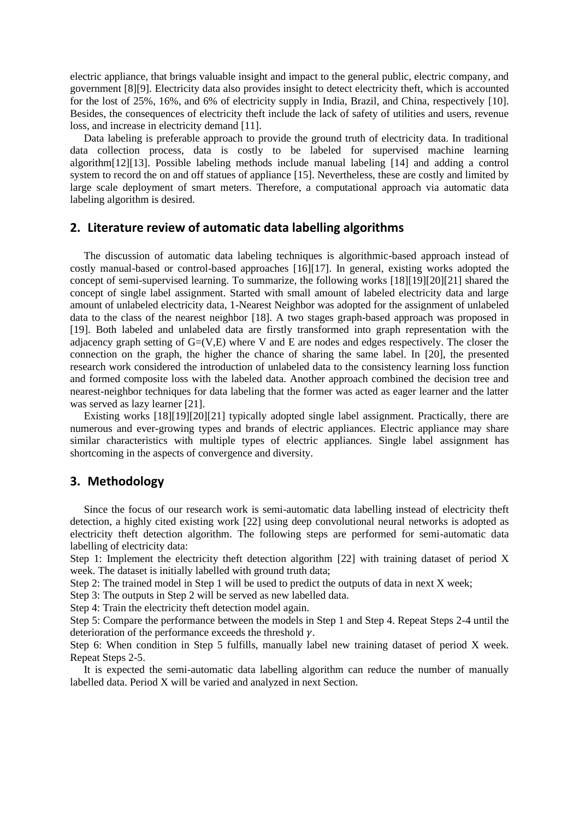electric appliance, that brings valuable insight and impact to the general public, electric company, and government [\[8\]](#page-3-0)[\[9\].](#page-3-1) Electricity data also provides insight to detect electricity theft, which is accounted for the lost of 25%, 16%, and 6% of electricity supply in India, Brazil, and China, respectively [\[10\].](#page-3-2) Besides, the consequences of electricity theft include the lack of safety of utilities and users, revenue loss, and increase in electricity deman[d \[11\].](#page-3-3)

Data labeling is preferable approach to provide the ground truth of electricity data. In traditional data collection process, data is costly to be labeled for supervised machine learning algorith[m\[12\]](#page-3-4)[\[13\].](#page-3-5) Possible labeling methods include manual labeling [\[14\]](#page-3-6) and adding a control system to record the on and off statues of appliance [\[15\].](#page-3-7) Nevertheless, these are costly and limited by large scale deployment of smart meters. Therefore, a computational approach via automatic data labeling algorithm is desired.

### **2. Literature review of automatic data labelling algorithms**

The discussion of automatic data labeling techniques is algorithmic-based approach instead of costly manual-based or control-based approaches [\[16\]](#page-3-8)[\[17\].](#page-3-9) In general, existing works adopted the concept of semi-supervised learning. To summarize, the following works [\[18\]](#page-3-10)[\[19\]](#page-3-11)[\[20\]](#page-3-12)[\[21\]](#page-3-13) shared the concept of single label assignment. Started with small amount of labeled electricity data and large amount of unlabeled electricity data, 1-Nearest Neighbor was adopted for the assignment of unlabeled data to the class of the nearest neighbor [\[18\].](#page-3-10) A two stages graph-based approach was proposed in [\[19\].](#page-3-11) Both labeled and unlabeled data are firstly transformed into graph representation with the adjacency graph setting of  $G=(V,E)$  where V and E are nodes and edges respectively. The closer the connection on the graph, the higher the chance of sharing the same label. In [\[20\],](#page-3-12) the presented research work considered the introduction of unlabeled data to the consistency learning loss function and formed composite loss with the labeled data. Another approach combined the decision tree and nearest-neighbor techniques for data labeling that the former was acted as eager learner and the latter was served as lazy learner [\[21\].](#page-3-13)

Existing works [\[18\]](#page-3-10)[\[19\]](#page-3-11)[\[20\]](#page-3-12)[\[21\]](#page-3-13) typically adopted single label assignment. Practically, there are numerous and ever-growing types and brands of electric appliances. Electric appliance may share similar characteristics with multiple types of electric appliances. Single label assignment has shortcoming in the aspects of convergence and diversity.

#### **3. Methodology**

Since the focus of our research work is semi-automatic data labelling instead of electricity theft detection, a highly cited existing work [\[22\]](#page-3-14) using deep convolutional neural networks is adopted as electricity theft detection algorithm. The following steps are performed for semi-automatic data labelling of electricity data:

Step 1: Implement the electricity theft detection algorithm [\[22\]](#page-3-14) with training dataset of period X week. The dataset is initially labelled with ground truth data;

Step 2: The trained model in Step 1 will be used to predict the outputs of data in next X week;

Step 3: The outputs in Step 2 will be served as new labelled data.

Step 4: Train the electricity theft detection model again.

Step 5: Compare the performance between the models in Step 1 and Step 4. Repeat Steps 2-4 until the deterioration of the performance exceeds the threshold  $\gamma$ .

Step 6: When condition in Step 5 fulfills, manually label new training dataset of period X week. Repeat Steps 2-5.

It is expected the semi-automatic data labelling algorithm can reduce the number of manually labelled data. Period X will be varied and analyzed in next Section.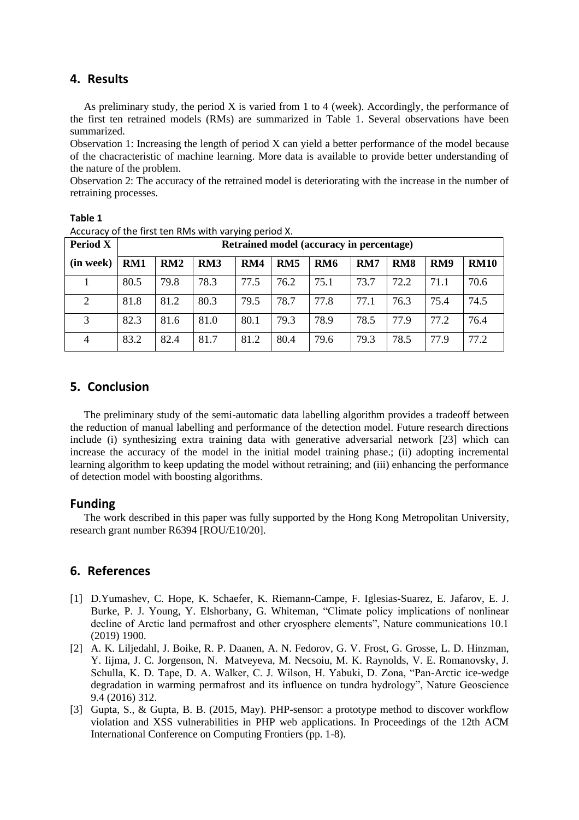## **4. Results**

As preliminary study, the period X is varied from 1 to 4 (week). Accordingly, the performance of the first ten retrained models (RMs) are summarized in Table 1. Several observations have been summarized.

Observation 1: Increasing the length of period X can yield a better performance of the model because of the chacracteristic of machine learning. More data is available to provide better understanding of the nature of the problem.

Observation 2: The accuracy of the retrained model is deteriorating with the increase in the number of retraining processes.

| <b>Period X</b> | Retrained model (accuracy in percentage) |      |                 |      |      |            |      |                 |      |             |
|-----------------|------------------------------------------|------|-----------------|------|------|------------|------|-----------------|------|-------------|
| (in week)       | RM1                                      | RM2  | RM <sub>3</sub> | RM4  | RM5  | <b>RM6</b> | RM7  | RM <sub>8</sub> | RM9  | <b>RM10</b> |
|                 | 80.5                                     | 79.8 | 78.3            | 77.5 | 76.2 | 75.1       | 73.7 | 72.2            | 71.1 | 70.6        |
| $\overline{2}$  | 81.8                                     | 81.2 | 80.3            | 79.5 | 78.7 | 77.8       | 77.1 | 76.3            | 75.4 | 74.5        |
| 3               | 82.3                                     | 81.6 | 81.0            | 80.1 | 79.3 | 78.9       | 78.5 | 77.9            | 77.2 | 76.4        |
| 4               | 83.2                                     | 82.4 | 81.7            | 81.2 | 80.4 | 79.6       | 79.3 | 78.5            | 77.9 | 77.2        |

**Table 1**

# **5. Conclusion**

The preliminary study of the semi-automatic data labelling algorithm provides a tradeoff between the reduction of manual labelling and performance of the detection model. Future research directions include (i) synthesizing extra training data with generative adversarial network [\[23\]](#page-3-15) which can increase the accuracy of the model in the initial model training phase.; (ii) adopting incremental learning algorithm to keep updating the model without retraining; and (iii) enhancing the performance of detection model with boosting algorithms.

## **Funding**

The work described in this paper was fully supported by the Hong Kong Metropolitan University, research grant number R6394 [ROU/E10/20].

## **6. References**

- [1] D.Yumashev, C. Hope, K. Schaefer, K. Riemann-Campe, F. Iglesias-Suarez, E. Jafarov, E. J. Burke, P. J. Young, Y. Elshorbany, G. Whiteman, "Climate policy implications of nonlinear decline of Arctic land permafrost and other cryosphere elements", Nature communications 10.1 (2019) 1900.
- [2] A. K. Liljedahl, J. Boike, R. P. Daanen, A. N. Fedorov, G. V. Frost, G. Grosse, L. D. Hinzman, Y. Iijma, J. C. Jorgenson, N. Matveyeva, M. Necsoiu, M. K. Raynolds, V. E. Romanovsky, J. Schulla, K. D. Tape, D. A. Walker, C. J. Wilson, H. Yabuki, D. Zona, "Pan-Arctic ice-wedge degradation in warming permafrost and its influence on tundra hydrology", Nature Geoscience 9.4 (2016) 312.
- [3] Gupta, S., & Gupta, B. B. (2015, May). PHP-sensor: a prototype method to discover workflow violation and XSS vulnerabilities in PHP web applications. In Proceedings of the 12th ACM International Conference on Computing Frontiers (pp. 1-8).